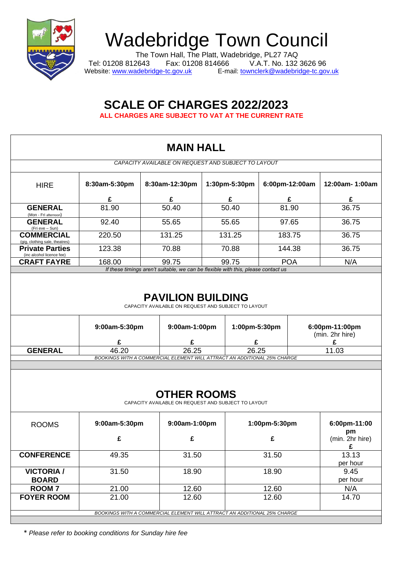

## Wadebridge Town Council

The Town Hall, The Platt, Wadebridge, PL27 7AQ Tel: 01208 812643 Fax: 01208 814666 V.A.T. No. 132 3626 96 Website: [www.wadebridge-tc.gov.uk](http://www.wadebridge-tc.gov.uk/) E-mail: [townclerk@wadebridge-tc.gov.uk](mailto:townclerk@wadebridge-tc.gov.uk)

## **SCALE OF CHARGES 2022/2023 ALL CHARGES ARE SUBJECT TO VAT AT THE CURRENT RATE**

|                                                     |                                                                                   | <b>MAIN HALL</b>                                                                                 |               |                |                            |  |  |
|-----------------------------------------------------|-----------------------------------------------------------------------------------|--------------------------------------------------------------------------------------------------|---------------|----------------|----------------------------|--|--|
|                                                     |                                                                                   | CAPACITY AVAILABLE ON REQUEST AND SUBJECT TO LAYOUT                                              |               |                |                            |  |  |
| <b>HIRE</b>                                         | 8:30am-5:30pm                                                                     | 8:30am-12:30pm                                                                                   | 1:30pm-5:30pm | 6:00pm-12:00am | 12:00am- 1:00am            |  |  |
|                                                     | £                                                                                 | £                                                                                                | £             | £              | £                          |  |  |
| <b>GENERAL</b><br>(Mon - Fri afternoon)             | 81.90                                                                             | 50.40                                                                                            | 50.40         | 81.90          | 36.75                      |  |  |
| <b>GENERAL</b><br>(Fri eve - Sun)                   | 92.40                                                                             | 55.65                                                                                            | 55.65         | 97.65          | 36.75                      |  |  |
| <b>COMMERCIAL</b><br>(gig, clothing sale, theatres) | 220.50                                                                            | 131.25                                                                                           | 131.25        | 183.75         | 36.75                      |  |  |
| <b>Private Parties</b><br>(inc alcohol licence fee) | 123.38                                                                            | 70.88                                                                                            | 70.88         | 144.38         | 36.75                      |  |  |
| <b>CRAFT FAYRE</b>                                  | 168.00                                                                            | 99.75                                                                                            | 99.75         | <b>POA</b>     | N/A                        |  |  |
|                                                     | If these timings aren't suitable, we can be flexible with this, please contact us |                                                                                                  |               |                |                            |  |  |
|                                                     | 9:00am-5:30pm                                                                     | <b>PAVILION BUILDING</b><br>CAPACITY AVAILABLE ON REQUEST AND SUBJECT TO LAYOUT<br>9:00am-1:00pm |               | 1:00pm-5:30pm  | 6:00pm-11:00pm             |  |  |
|                                                     | £                                                                                 | £                                                                                                |               | £              | (min. 2hr hire)<br>£       |  |  |
| <b>GENERAL</b>                                      | 46.20                                                                             | 26.25                                                                                            |               | 26.25          | 11.03                      |  |  |
|                                                     |                                                                                   | BOOKINGS WITH A COMMERCIAL ELEMENT WILL ATTRACT AN ADDITIONAL 25% CHARGE                         |               |                |                            |  |  |
|                                                     |                                                                                   | <b>OTHER ROOMS</b><br>CAPACITY AVAILABLE ON REQUEST AND SUBJECT TO LAYOUT                        |               |                |                            |  |  |
| <b>ROOMS</b>                                        | 9:00am-5:30pm                                                                     | 9:00am-1:00pm                                                                                    |               | 1:00pm-5:30pm  | 6:00pm-11:00               |  |  |
|                                                     | £                                                                                 | £                                                                                                |               | £              | pm<br>(min. 2hr hire)<br>£ |  |  |
| <b>CONFERENCE</b>                                   | 49.35                                                                             | 31.50                                                                                            |               | 31.50          | 13.13<br>per hour          |  |  |
| <b>VICTORIA /</b><br><b>BOARD</b>                   | 31.50                                                                             | 18.90                                                                                            |               | 18.90          | 9.45<br>per hour           |  |  |
| <b>ROOM7</b>                                        | 21.00                                                                             | 12.60                                                                                            |               | 12.60          | N/A                        |  |  |
| <b>FOYER ROOM</b>                                   | 21.00                                                                             | 12.60                                                                                            |               | 12.60          | 14.70                      |  |  |
|                                                     |                                                                                   | BOOKINGS WITH A COMMERCIAL ELEMENT WILL ATTRACT AN ADDITIONAL 25% CHARGE                         |               |                |                            |  |  |

\* *Please refer to booking conditions for Sunday hire fee*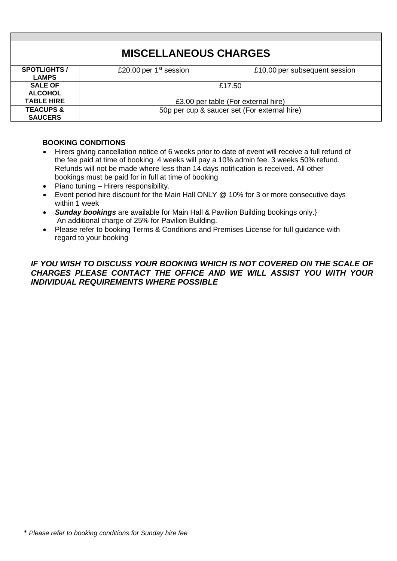| <b>SPOTLIGHTS</b>    | £20.00 per $1st$ session                     | £10.00 per subsequent session |  |  |  |
|----------------------|----------------------------------------------|-------------------------------|--|--|--|
| <b>LAMPS</b>         |                                              |                               |  |  |  |
| <b>SALE OF</b>       | £17.50                                       |                               |  |  |  |
| <b>ALCOHOL</b>       |                                              |                               |  |  |  |
| <b>TABLE HIRE</b>    | £3.00 per table (For external hire)          |                               |  |  |  |
| <b>TEACUPS &amp;</b> | 50p per cup & saucer set (For external hire) |                               |  |  |  |
| <b>SAUCERS</b>       |                                              |                               |  |  |  |

## **BOOKING CONDITIONS**

- Hirers giving cancellation notice of 6 weeks prior to date of event will receive a full refund of the fee paid at time of booking. 4 weeks will pay a 10% admin fee. 3 weeks 50% refund. Refunds will not be made where less than 14 days notification is received. All other bookings must be paid for in full at time of booking
- Piano tuning Hirers responsibility.
- Event period hire discount for the Main Hall ONLY @ 10% for 3 or more consecutive days within 1 week
- *Sunday bookings* are available for Main Hall & Pavilion Building bookings only.} An additional charge of 25% for Pavilion Building.
- Please refer to booking Terms & Conditions and Premises License for full guidance with regard to your booking

## *IF YOU WISH TO DISCUSS YOUR BOOKING WHICH IS NOT COVERED ON THE SCALE OF CHARGES PLEASE CONTACT THE OFFICE AND WE WILL ASSIST YOU WITH YOUR INDIVIDUAL REQUIREMENTS WHERE POSSIBLE*